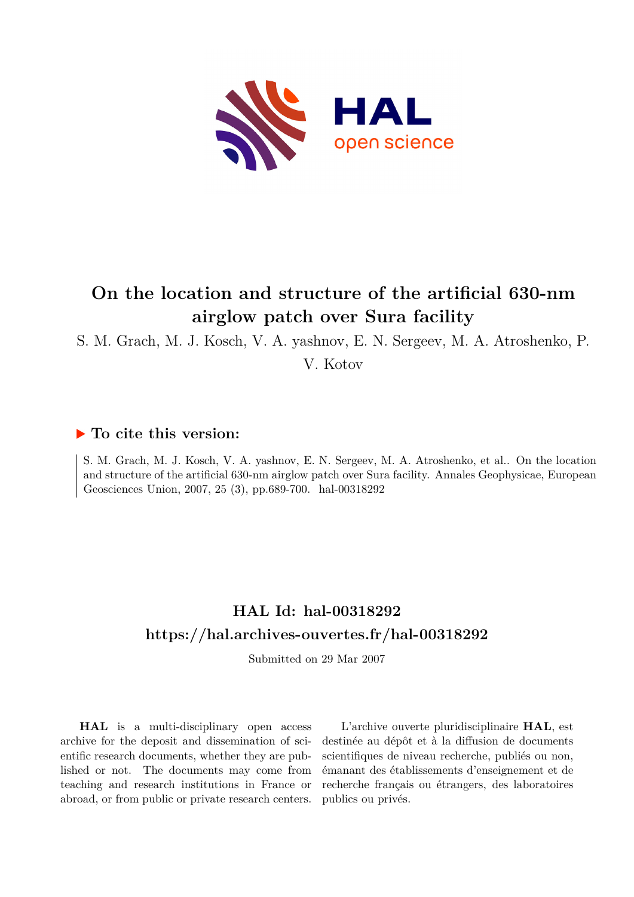

# **On the location and structure of the artificial 630-nm airglow patch over Sura facility**

S. M. Grach, M. J. Kosch, V. A. yashnov, E. N. Sergeev, M. A. Atroshenko, P.

V. Kotov

## **To cite this version:**

S. M. Grach, M. J. Kosch, V. A. yashnov, E. N. Sergeev, M. A. Atroshenko, et al.. On the location and structure of the artificial 630-nm airglow patch over Sura facility. Annales Geophysicae, European Geosciences Union, 2007, 25 (3), pp.689-700. hal-00318292

## **HAL Id: hal-00318292 <https://hal.archives-ouvertes.fr/hal-00318292>**

Submitted on 29 Mar 2007

**HAL** is a multi-disciplinary open access archive for the deposit and dissemination of scientific research documents, whether they are published or not. The documents may come from teaching and research institutions in France or abroad, or from public or private research centers.

L'archive ouverte pluridisciplinaire **HAL**, est destinée au dépôt et à la diffusion de documents scientifiques de niveau recherche, publiés ou non, émanant des établissements d'enseignement et de recherche français ou étrangers, des laboratoires publics ou privés.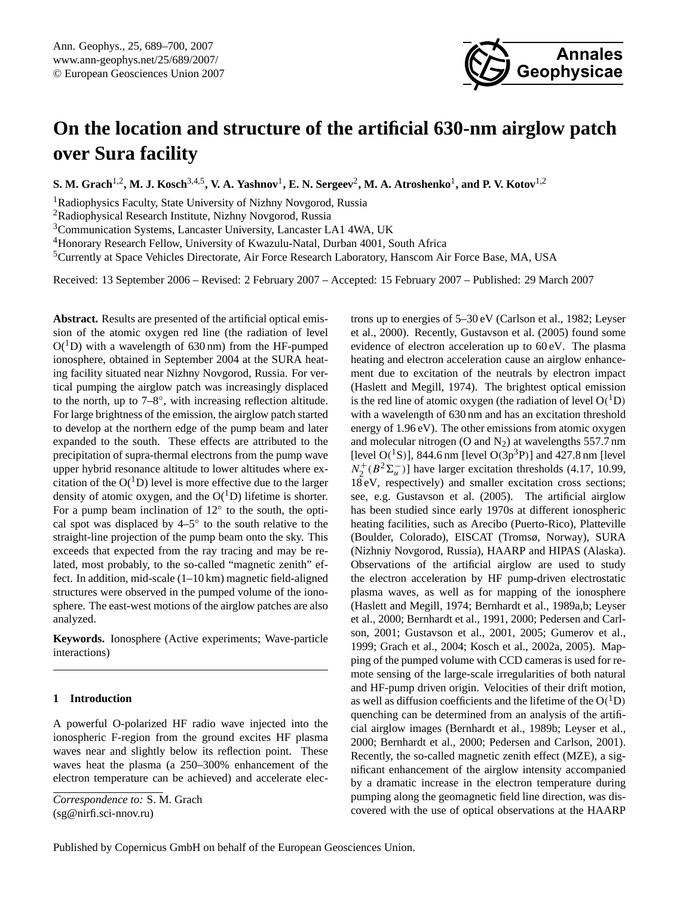# <span id="page-1-0"></span>**On the location and structure of the artificial 630-nm airglow patch over Sura facility**

 $\mathbf{S}.$  M. Grach<sup>1,2</sup>, M. J. Kosch<sup>3,4,5</sup>, V. A. Yashnov<sup>1</sup>, E. N. Sergeev<sup>2</sup>, M. A. Atroshenko<sup>1</sup>, and P. V. Kotov<sup>1,2</sup>

<sup>1</sup>Radiophysics Faculty, State University of Nizhny Novgorod, Russia

<sup>2</sup>Radiophysical Research Institute, Nizhny Novgorod, Russia

<sup>3</sup>Communication Systems, Lancaster University, Lancaster LA1 4WA, UK

<sup>4</sup>Honorary Research Fellow, University of Kwazulu-Natal, Durban 4001, South Africa

<sup>5</sup>Currently at Space Vehicles Directorate, Air Force Research Laboratory, Hanscom Air Force Base, MA, USA

Received: 13 September 2006 – Revised: 2 February 2007 – Accepted: 15 February 2007 – Published: 29 March 2007

**Abstract.** Results are presented of the artificial optical emission of the atomic oxygen red line (the radiation of level  $O(^1D)$  with a wavelength of 630 nm) from the HF-pumped ionosphere, obtained in September 2004 at the SURA heating facility situated near Nizhny Novgorod, Russia. For vertical pumping the airglow patch was increasingly displaced to the north, up to 7–8◦ , with increasing reflection altitude. For large brightness of the emission, the airglow patch started to develop at the northern edge of the pump beam and later expanded to the south. These effects are attributed to the precipitation of supra-thermal electrons from the pump wave upper hybrid resonance altitude to lower altitudes where excitation of the  $O(^{1}D)$  level is more effective due to the larger density of atomic oxygen, and the  $O(^1D)$  lifetime is shorter. For a pump beam inclination of 12◦ to the south, the optical spot was displaced by 4–5◦ to the south relative to the straight-line projection of the pump beam onto the sky. This exceeds that expected from the ray tracing and may be related, most probably, to the so-called "magnetic zenith" effect. In addition, mid-scale (1–10 km) magnetic field-aligned structures were observed in the pumped volume of the ionosphere. The east-west motions of the airglow patches are also analyzed.

**Keywords.** Ionosphere (Active experiments; Wave-particle interactions)

## **1 Introduction**

A powerful O-polarized HF radio wave injected into the ionospheric F-region from the ground excites HF plasma waves near and slightly below its reflection point. These waves heat the plasma (a 250–300% enhancement of the electron temperature can be achieved) and accelerate electrons up to energies of 5–30 eV [\(Carlson et al., 1982;](#page-11-0) [Leyser](#page-12-0) [et al., 2000\)](#page-12-0). Recently, [Gustavson et al.](#page-11-1) [\(2005\)](#page-11-1) found some evidence of electron acceleration up to 60 eV. The plasma heating and electron acceleration cause an airglow enhancement due to excitation of the neutrals by electron impact [\(Haslett and Megill, 1974\)](#page-11-2). The brightest optical emission is the red line of atomic oxygen (the radiation of level  $O(^1D)$ with a wavelength of 630 nm and has an excitation threshold energy of 1.96 eV). The other emissions from atomic oxygen and molecular nitrogen (O and  $N_2$ ) at wavelengths 557.7 nm [level  $O(^{1}S)$ ], 844.6 nm [level  $O(3p^{3}P)$ ] and 427.8 nm [level  $N_2^+(B^2\Sigma_u^-)$ ] have larger excitation thresholds (4.17, 10.99, 18 eV, respectively) and smaller excitation cross sections; see, e.g. [Gustavson et al. \(2005\)](#page-11-1). The artificial airglow has been studied since early 1970s at different ionospheric heating facilities, such as Arecibo (Puerto-Rico), Platteville (Boulder, Colorado), EISCAT (Tromsø, Norway), SURA (Nizhniy Novgorod, Russia), HAARP and HIPAS (Alaska). Observations of the artificial airglow are used to study the electron acceleration by HF pump-driven electrostatic plasma waves, as well as for mapping of the ionosphere [\(Haslett and Megill, 1974;](#page-11-2) [Bernhardt et al., 1989a,](#page-10-0)[b;](#page-11-3) [Leyser](#page-12-0) [et al., 2000;](#page-12-0) [Bernhardt et al., 1991,](#page-11-4) [2000;](#page-11-5) [Pedersen and Carl](#page-12-1)[son, 2001;](#page-12-1) [Gustavson et al., 2001,](#page-11-6) [2005;](#page-11-1) [Gumerov et al.,](#page-11-7) [1999;](#page-11-7) [Grach et al., 2004;](#page-11-8) [Kosch et al., 2002a,](#page-11-9) [2005\)](#page-12-2). Mapping of the pumped volume with CCD cameras is used for remote sensing of the large-scale irregularities of both natural and HF-pump driven origin. Velocities of their drift motion, as well as diffusion coefficients and the lifetime of the  $O(^{1}D)$ quenching can be determined from an analysis of the artificial airglow images [\(Bernhardt et al., 1989b;](#page-11-3) [Leyser et al.,](#page-12-0) [2000;](#page-12-0) [Bernhardt et al., 2000;](#page-11-5) [Pedersen and Carlson, 2001\)](#page-12-1). Recently, the so-called magnetic zenith effect (MZE), a significant enhancement of the airglow intensity accompanied by a dramatic increase in the electron temperature during pumping along the geomagnetic field line direction, was discovered with the use of optical observations at the HAARP

**Annales**

**Geophysicae**

*Correspondence to:* S. M. Grach (sg@nirfi.sci-nnov.ru)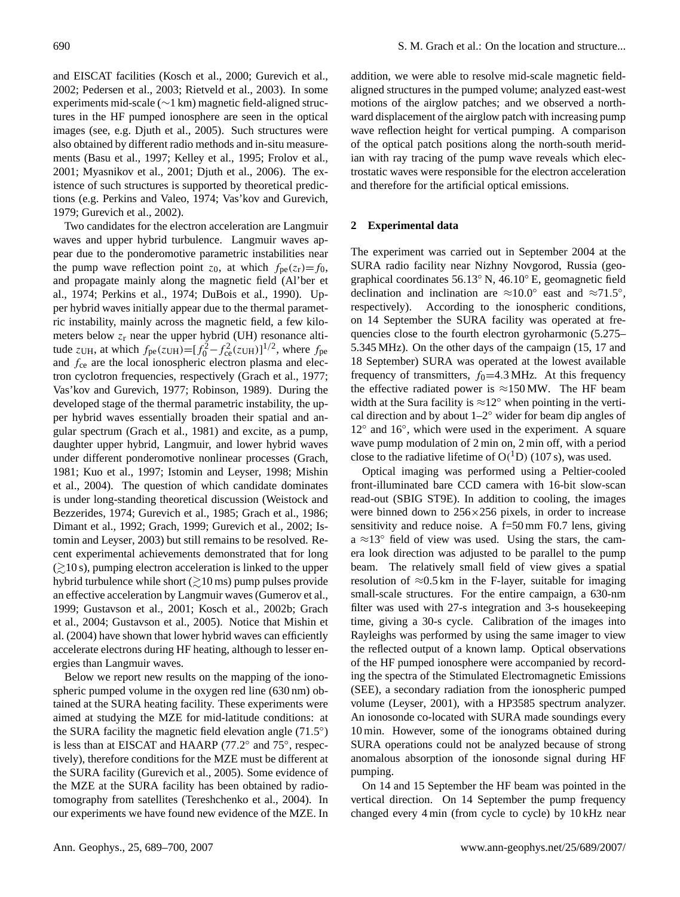and EISCAT facilities [\(Kosch et al., 2000;](#page-11-10) [Gurevich et al.,](#page-11-11) [2002;](#page-11-11) [Pedersen et al., 2003;](#page-12-3) [Rietveld et al., 2003\)](#page-12-4). In some experiments mid-scale (∼1 km) magnetic field-aligned structures in the HF pumped ionosphere are seen in the optical images (see, e.g. [Djuth et al., 2005\)](#page-11-12). Such structures were also obtained by different radio methods and in-situ measurements [\(Basu et al., 1997;](#page-10-1) [Kelley et al., 1995;](#page-11-13) [Frolov et al.,](#page-11-14) [2001;](#page-11-14) [Myasnikov et al., 2001;](#page-12-5) [Djuth et al., 2006\)](#page-11-15). The existence of such structures is supported by theoretical predictions (e.g. [Perkins and Valeo, 1974;](#page-12-6) [Vas'kov and Gurevich,](#page-12-7) [1979;](#page-12-7) [Gurevich et al., 2002\)](#page-11-11).

Two candidates for the electron acceleration are Langmuir waves and upper hybrid turbulence. Langmuir waves appear due to the ponderomotive parametric instabilities near the pump wave reflection point  $z_0$ , at which  $f_{pe}(z_r)=f_0$ , and propagate mainly along the magnetic field [\(Al'ber et](#page-10-2) [al., 1974;](#page-10-2) [Perkins et al., 1974;](#page-12-8) [DuBois et al., 1990\)](#page-11-16). Upper hybrid waves initially appear due to the thermal parametric instability, mainly across the magnetic field, a few kilometers below  $z_r$  near the upper hybrid (UH) resonance altitude  $z_{\text{UH}}$ , at which  $f_{\text{pe}}(z_{\text{UH}}) = [f_0^2 - f_{\text{ce}}^2(z_{\text{UH}})]^{1/2}$ , where  $f_{\text{pe}}$ and  $f_{ce}$  are the local ionospheric electron plasma and electron cyclotron frequencies, respectively [\(Grach et al., 1977;](#page-11-17) [Vas'kov and Gurevich, 1977;](#page-12-9) [Robinson, 1989\)](#page-12-10). During the developed stage of the thermal parametric instability, the upper hybrid waves essentially broaden their spatial and angular spectrum [\(Grach et al., 1981\)](#page-11-18) and excite, as a pump, daughter upper hybrid, Langmuir, and lower hybrid waves under different ponderomotive nonlinear processes [\(Grach,](#page-11-19) [1981;](#page-11-19) [Kuo et al., 1997;](#page-12-11) [Istomin and Leyser, 1998;](#page-11-20) [Mishin](#page-12-12) [et al., 2004\)](#page-12-12). The question of which candidate dominates is under long-standing theoretical discussion [\(Weistock and](#page-12-13) [Bezzerides, 1974;](#page-12-13) [Gurevich et al., 1985;](#page-11-21) [Grach et al., 1986;](#page-11-22) [Dimant et al., 1992;](#page-11-23) [Grach, 1999;](#page-11-24) [Gurevich et al., 2002;](#page-11-11) [Is](#page-11-25)[tomin and Leyser, 2003\)](#page-11-25) but still remains to be resolved. Recent experimental achievements demonstrated that for long  $\left(\geq 10 \text{ s}\right)$ , pumping electron acceleration is linked to the upper hybrid turbulence while short  $(\gtrsim 10 \,\text{ms})$  pump pulses provide an effective acceleration by Langmuir waves [\(Gumerov et al.,](#page-11-7) [1999;](#page-11-7) [Gustavson et al., 2001;](#page-11-6) [Kosch et al., 2002b;](#page-11-26) [Grach](#page-11-8) [et al., 2004;](#page-11-8) [Gustavson et al., 2005\)](#page-11-1). Notice that [Mishin et](#page-12-12) [al.](#page-12-12) [\(2004\)](#page-12-12) have shown that lower hybrid waves can efficiently accelerate electrons during HF heating, although to lesser energies than Langmuir waves.

Below we report new results on the mapping of the ionospheric pumped volume in the oxygen red line (630 nm) obtained at the SURA heating facility. These experiments were aimed at studying the MZE for mid-latitude conditions: at the SURA facility the magnetic field elevation angle (71.5°) is less than at EISCAT and HAARP (77.2° and 75°, respectively), therefore conditions for the MZE must be different at the SURA facility [\(Gurevich et al., 2005\)](#page-11-27). Some evidence of the MZE at the SURA facility has been obtained by radiotomography from satellites [\(Tereshchenko et al., 2004\)](#page-12-14). In our experiments we have found new evidence of the MZE. In

addition, we were able to resolve mid-scale magnetic fieldaligned structures in the pumped volume; analyzed east-west motions of the airglow patches; and we observed a northward displacement of the airglow patch with increasing pump wave reflection height for vertical pumping. A comparison of the optical patch positions along the north-south meridian with ray tracing of the pump wave reveals which electrostatic waves were responsible for the electron acceleration and therefore for the artificial optical emissions.

## <span id="page-2-0"></span>**2 Experimental data**

The experiment was carried out in September 2004 at the SURA radio facility near Nizhny Novgorod, Russia (geographical coordinates 56.13◦ N, 46.10◦ E, geomagnetic field declination and inclination are  $\approx 10.0^{\circ}$  east and  $\approx 71.5^{\circ}$ , respectively). According to the ionospheric conditions, on 14 September the SURA facility was operated at frequencies close to the fourth electron gyroharmonic (5.275– 5.345 MHz). On the other days of the campaign (15, 17 and 18 September) SURA was operated at the lowest available frequency of transmitters,  $f_0$ =4.3 MHz. At this frequency the effective radiated power is  $\approx$ 150 MW. The HF beam width at the Sura facility is  $\approx$ 12° when pointing in the vertical direction and by about  $1-2°$  wider for beam dip angles of 12° and 16°, which were used in the experiment. A square wave pump modulation of 2 min on, 2 min off, with a period close to the radiative lifetime of  $O(^1D)$  (107 s), was used.

Optical imaging was performed using a Peltier-cooled front-illuminated bare CCD camera with 16-bit slow-scan read-out (SBIG ST9E). In addition to cooling, the images were binned down to 256×256 pixels, in order to increase sensitivity and reduce noise. A  $f=50 \text{ mm}$  F0.7 lens, giving a ≈13◦ field of view was used. Using the stars, the camera look direction was adjusted to be parallel to the pump beam. The relatively small field of view gives a spatial resolution of  $\approx 0.5$  km in the F-layer, suitable for imaging small-scale structures. For the entire campaign, a 630-nm filter was used with 27-s integration and 3-s housekeeping time, giving a 30-s cycle. Calibration of the images into Rayleighs was performed by using the same imager to view the reflected output of a known lamp. Optical observations of the HF pumped ionosphere were accompanied by recording the spectra of the Stimulated Electromagnetic Emissions (SEE), a secondary radiation from the ionospheric pumped volume [\(Leyser, 2001\)](#page-12-15), with a HP3585 spectrum analyzer. An ionosonde co-located with SURA made soundings every 10 min. However, some of the ionograms obtained during SURA operations could not be analyzed because of strong anomalous absorption of the ionosonde signal during HF pumping.

On 14 and 15 September the HF beam was pointed in the vertical direction. On 14 September the pump frequency changed every 4 min (from cycle to cycle) by 10 kHz near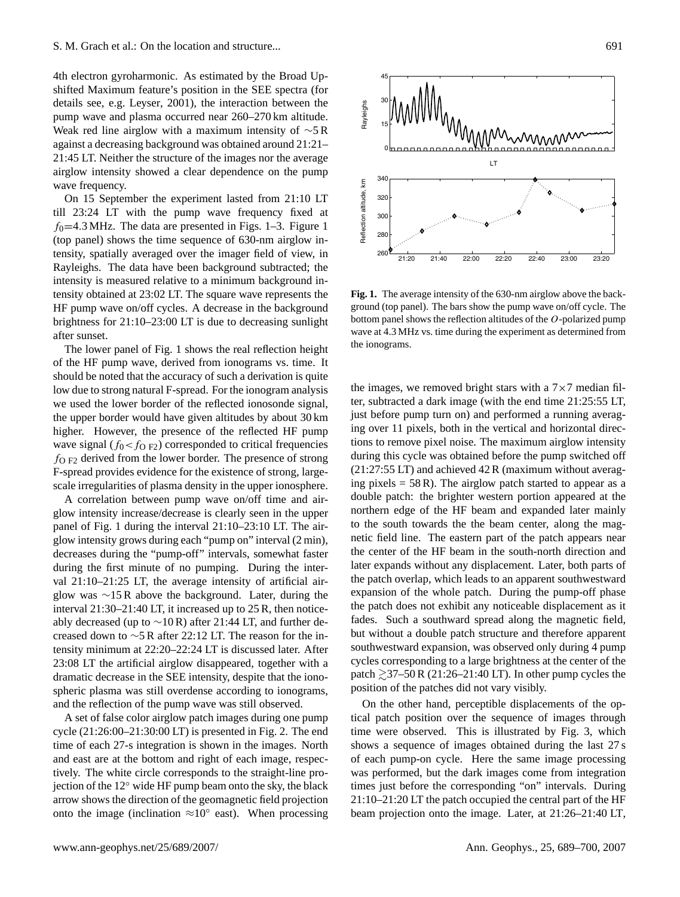4th electron gyroharmonic. As estimated by the Broad Upshifted Maximum feature's position in the SEE spectra (for details see, e.g. [Leyser, 2001\)](#page-12-15), the interaction between the pump wave and plasma occurred near 260–270 km altitude. Weak red line airglow with a maximum intensity of ∼5 R against a decreasing background was obtained around 21:21– 21:45 LT. Neither the structure of the images nor the average airglow intensity showed a clear dependence on the pump wave frequency.

On 15 September the experiment lasted from 21:10 LT till 23:24 LT with the pump wave frequency fixed at  $f_0$ =4.3 MHz. The data are presented in Figs. [1](#page-3-0)[–3.](#page-5-0) Figure 1 (top panel) shows the time sequence of 630-nm airglow intensity, spatially averaged over the imager field of view, in Rayleighs. The data have been background subtracted; the intensity is measured relative to a minimum background intensity obtained at 23:02 LT. The square wave represents the HF pump wave on/off cycles. A decrease in the background brightness for 21:10–23:00 LT is due to decreasing sunlight after sunset.

The lower panel of Fig. [1](#page-3-0) shows the real reflection height of the HF pump wave, derived from ionograms vs. time. It should be noted that the accuracy of such a derivation is quite low due to strong natural F-spread. For the ionogram analysis we used the lower border of the reflected ionosonde signal, the upper border would have given altitudes by about 30 km higher. However, the presence of the reflected HF pump wave signal ( $f_0 < f_{\text{O F2}}$ ) corresponded to critical frequencies  $f_{\text{O F2}}$  derived from the lower border. The presence of strong F-spread provides evidence for the existence of strong, largescale irregularities of plasma density in the upper ionosphere.

A correlation between pump wave on/off time and airglow intensity increase/decrease is clearly seen in the upper panel of Fig. [1](#page-3-0) during the interval 21:10–23:10 LT. The airglow intensity grows during each "pump on" interval (2 min), decreases during the "pump-off" intervals, somewhat faster during the first minute of no pumping. During the interval 21:10–21:25 LT, the average intensity of artificial airglow was ∼15 R above the background. Later, during the interval 21:30–21:40 LT, it increased up to 25 R, then noticeably decreased (up to  $\sim$ 10 R) after 21:44 LT, and further decreased down to ∼5 R after 22:12 LT. The reason for the intensity minimum at 22:20–22:24 LT is discussed later. After 23:08 LT the artificial airglow disappeared, together with a dramatic decrease in the SEE intensity, despite that the ionospheric plasma was still overdense according to ionograms, and the reflection of the pump wave was still observed.

A set of false color airglow patch images during one pump cycle (21:26:00–21:30:00 LT) is presented in Fig. [2.](#page-4-0) The end time of each 27-s integration is shown in the images. North and east are at the bottom and right of each image, respectively. The white circle corresponds to the straight-line projection of the 12◦ wide HF pump beam onto the sky, the black arrow shows the direction of the geomagnetic field projection onto the image (inclination  $\approx 10^{\circ}$  east). When processing



<span id="page-3-0"></span>**Fig. 1.** The average intensity of the 630-nm airglow above the background (top panel). The bars show the pump wave on/off cycle. The bottom panel shows the reflection altitudes of the O-polarized pump wave at 4.3 MHz vs. time during the experiment as determined from the ionograms.

the images, we removed bright stars with a  $7\times7$  median filter, subtracted a dark image (with the end time 21:25:55 LT, just before pump turn on) and performed a running averaging over 11 pixels, both in the vertical and horizontal directions to remove pixel noise. The maximum airglow intensity during this cycle was obtained before the pump switched off (21:27:55 LT) and achieved 42 R (maximum without averaging pixels  $= 58$  R). The airglow patch started to appear as a double patch: the brighter western portion appeared at the northern edge of the HF beam and expanded later mainly to the south towards the the beam center, along the magnetic field line. The eastern part of the patch appears near the center of the HF beam in the south-north direction and later expands without any displacement. Later, both parts of the patch overlap, which leads to an apparent southwestward expansion of the whole patch. During the pump-off phase the patch does not exhibit any noticeable displacement as it fades. Such a southward spread along the magnetic field, but without a double patch structure and therefore apparent southwestward expansion, was observed only during 4 pump cycles corresponding to a large brightness at the center of the patch  $\geq$ 37–50 R (21:26–21:40 LT). In other pump cycles the position of the patches did not vary visibly.

On the other hand, perceptible displacements of the optical patch position over the sequence of images through time were observed. This is illustrated by Fig. [3,](#page-5-0) which shows a sequence of images obtained during the last 27 s of each pump-on cycle. Here the same image processing was performed, but the dark images come from integration times just before the corresponding "on" intervals. During 21:10–21:20 LT the patch occupied the central part of the HF beam projection onto the image. Later, at 21:26–21:40 LT,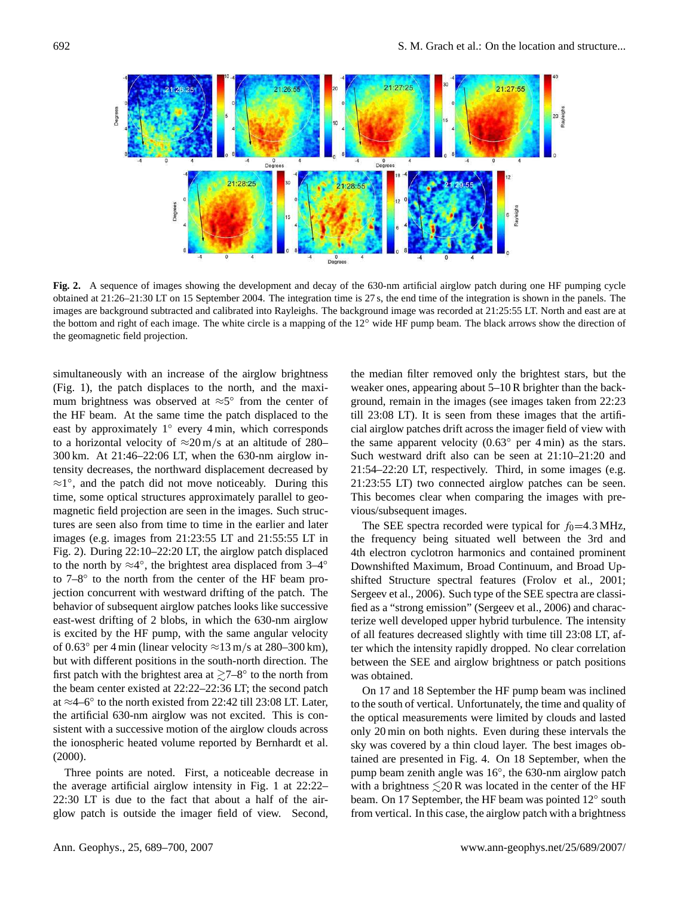

<span id="page-4-0"></span>**Fig. 2.** A sequence of images showing the development and decay of the 630-nm artificial airglow patch during one HF pumping cycle obtained at 21:26–21:30 LT on 15 September 2004. The integration time is 27 s, the end time of the integration is shown in the panels. The images are background subtracted and calibrated into Rayleighs. The background image was recorded at 21:25:55 LT. North and east are at the bottom and right of each image. The white circle is a mapping of the 12◦ wide HF pump beam. The black arrows show the direction of the geomagnetic field projection.

simultaneously with an increase of the airglow brightness (Fig. [1\)](#page-3-0), the patch displaces to the north, and the maximum brightness was observed at  $\approx 5^{\circ}$  from the center of the HF beam. At the same time the patch displaced to the east by approximately 1° every 4 min, which corresponds to a horizontal velocity of  $\approx 20 \text{ m/s}$  at an altitude of 280– 300 km. At 21:46–22:06 LT, when the 630-nm airglow intensity decreases, the northward displacement decreased by ≈1 ◦ , and the patch did not move noticeably. During this time, some optical structures approximately parallel to geomagnetic field projection are seen in the images. Such structures are seen also from time to time in the earlier and later images (e.g. images from 21:23:55 LT and 21:55:55 LT in Fig. [2\)](#page-4-0). During 22:10–22:20 LT, the airglow patch displaced to the north by  $\approx$ 4°, the brightest area displaced from 3–4° to 7–8° to the north from the center of the HF beam projection concurrent with westward drifting of the patch. The behavior of subsequent airglow patches looks like successive east-west drifting of 2 blobs, in which the 630-nm airglow is excited by the HF pump, with the same angular velocity of 0.63 $\degree$  per 4 min (linear velocity  $\approx$ 13 m/s at 280–300 km), but with different positions in the south-north direction. The first patch with the brightest area at  $\gtrsim 7-8^\circ$  to the north from the beam center existed at 22:22–22:36 LT; the second patch at ≈4–6◦ to the north existed from 22:42 till 23:08 LT. Later, the artificial 630-nm airglow was not excited. This is consistent with a successive motion of the airglow clouds across the ionospheric heated volume reported by [Bernhardt et al.](#page-11-5) [\(2000\)](#page-11-5).

Three points are noted. First, a noticeable decrease in the average artificial airglow intensity in Fig. [1](#page-3-0) at 22:22– 22:30 LT is due to the fact that about a half of the airglow patch is outside the imager field of view. Second,

the median filter removed only the brightest stars, but the weaker ones, appearing about 5–10 R brighter than the background, remain in the images (see images taken from 22:23 till 23:08 LT). It is seen from these images that the artificial airglow patches drift across the imager field of view with the same apparent velocity  $(0.63°$  per 4 min) as the stars. Such westward drift also can be seen at 21:10–21:20 and 21:54–22:20 LT, respectively. Third, in some images (e.g. 21:23:55 LT) two connected airglow patches can be seen. This becomes clear when comparing the images with previous/subsequent images.

The SEE spectra recorded were typical for  $f_0$ =4.3 MHz, the frequency being situated well between the 3rd and 4th electron cyclotron harmonics and contained prominent Downshifted Maximum, Broad Continuum, and Broad Upshifted Structure spectral features [\(Frolov et al., 2001;](#page-11-28) [Sergeev et al., 2006\)](#page-12-16). Such type of the SEE spectra are classified as a "strong emission" [\(Sergeev et al., 2006\)](#page-12-16) and characterize well developed upper hybrid turbulence. The intensity of all features decreased slightly with time till 23:08 LT, after which the intensity rapidly dropped. No clear correlation between the SEE and airglow brightness or patch positions was obtained.

On 17 and 18 September the HF pump beam was inclined to the south of vertical. Unfortunately, the time and quality of the optical measurements were limited by clouds and lasted only 20 min on both nights. Even during these intervals the sky was covered by a thin cloud layer. The best images obtained are presented in Fig. [4.](#page-6-0) On 18 September, when the pump beam zenith angle was 16◦ , the 630-nm airglow patch with a brightness  $\leq 20$  R was located in the center of the HF beam. On 17 September, the HF beam was pointed 12° south from vertical. In this case, the airglow patch with a brightness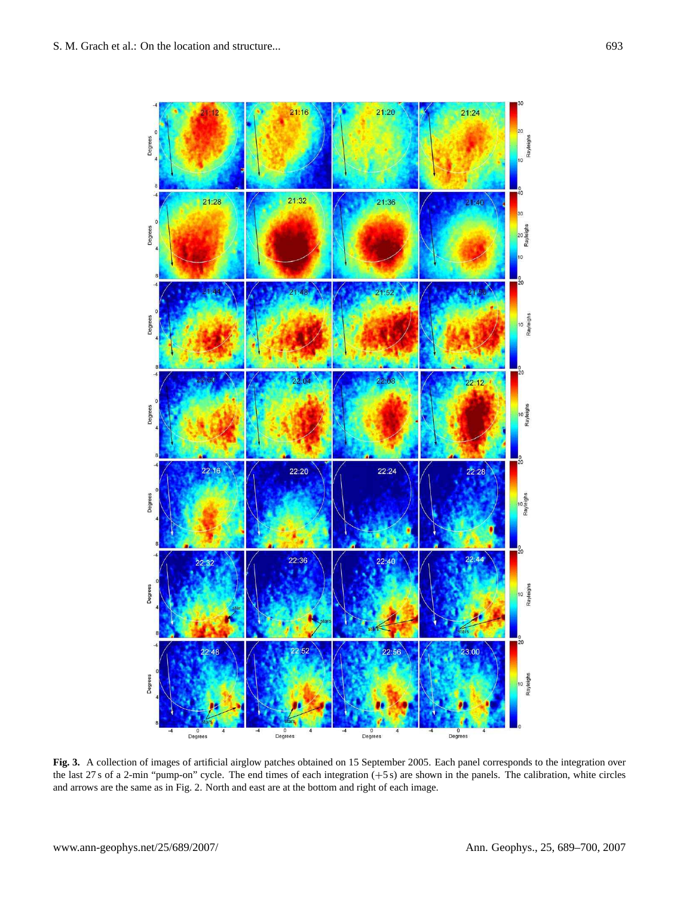

<span id="page-5-0"></span>**Fig. 3.** A collection of images of artificial airglow patches obtained on 15 September 2005. Each panel corresponds to the integration over the last 27 s of a 2-min "pump-on" cycle. The end times of each integration (+5 s) are shown in the panels. The calibration, white circles and arrows are the same as in Fig. [2.](#page-4-0) North and east are at the bottom and right of each image.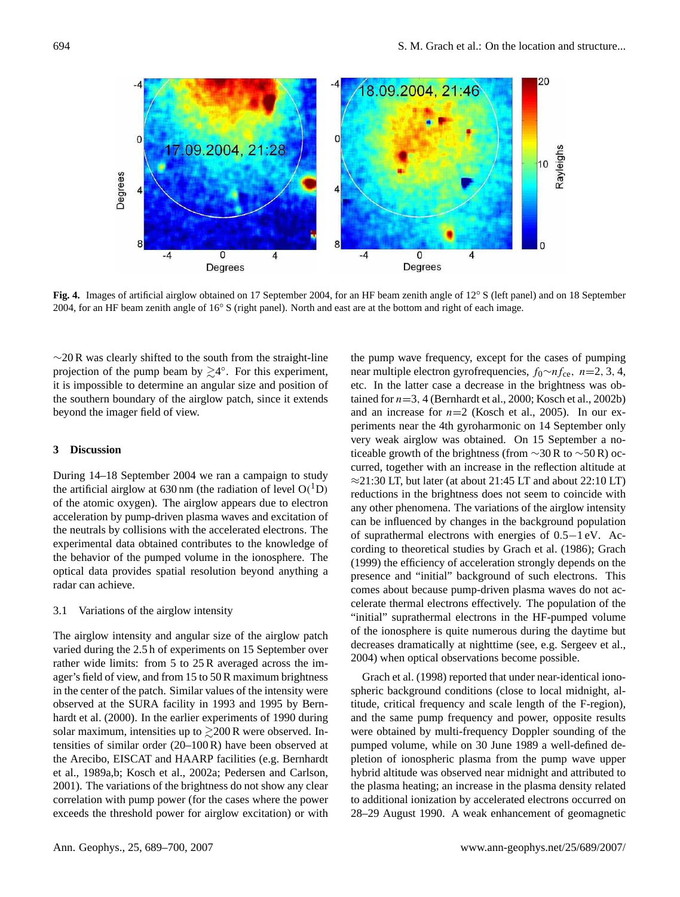

<span id="page-6-0"></span>**Fig. 4.** Images of artificial airglow obtained on 17 September 2004, for an HF beam zenith angle of 12◦ S (left panel) and on 18 September 2004, for an HF beam zenith angle of 16◦ S (right panel). North and east are at the bottom and right of each image.

 $\sim$ 20 R was clearly shifted to the south from the straight-line projection of the pump beam by  $\geq 4^{\circ}$ . For this experiment, it is impossible to determine an angular size and position of the southern boundary of the airglow patch, since it extends beyond the imager field of view.

## **3 Discussion**

During 14–18 September 2004 we ran a campaign to study the artificial airglow at 630 nm (the radiation of level  $O(^1D)$ of the atomic oxygen). The airglow appears due to electron acceleration by pump-driven plasma waves and excitation of the neutrals by collisions with the accelerated electrons. The experimental data obtained contributes to the knowledge of the behavior of the pumped volume in the ionosphere. The optical data provides spatial resolution beyond anything a radar can achieve.

## 3.1 Variations of the airglow intensity

The airglow intensity and angular size of the airglow patch varied during the 2.5 h of experiments on 15 September over rather wide limits: from 5 to 25 R averaged across the imager's field of view, and from 15 to 50 R maximum brightness in the center of the patch. Similar values of the intensity were observed at the SURA facility in 1993 and 1995 by [Bern](#page-11-5)[hardt et al.](#page-11-5) [\(2000\)](#page-11-5). In the earlier experiments of 1990 during solar maximum, intensities up to  $\geq$  200 R were observed. Intensities of similar order (20–100 R) have been observed at the Arecibo, EISCAT and HAARP facilities (e.g. [Bernhardt](#page-10-0) [et al., 1989a,](#page-10-0)[b;](#page-11-3) [Kosch et al., 2002a;](#page-11-9) [Pedersen and Carlson,](#page-12-1) [2001\)](#page-12-1). The variations of the brightness do not show any clear correlation with pump power (for the cases where the power exceeds the threshold power for airglow excitation) or with

the pump wave frequency, except for the cases of pumping near multiple electron gyrofrequencies,  $f_0 \sim n f_{ce}$ ,  $n=2, 3, 4$ , etc. In the latter case a decrease in the brightness was obtained for  $n=3$ , 4 [\(Bernhardt et al., 2000;](#page-11-5) [Kosch et al., 2002b\)](#page-11-26) and an increase for  $n=2$  [\(Kosch et al., 2005\)](#page-12-2). In our experiments near the 4th gyroharmonic on 14 September only very weak airglow was obtained. On 15 September a noticeable growth of the brightness (from  $\sim$ 30 R to  $\sim$ 50 R) occurred, together with an increase in the reflection altitude at  $\approx$ 21:30 LT, but later (at about 21:45 LT and about 22:10 LT) reductions in the brightness does not seem to coincide with any other phenomena. The variations of the airglow intensity can be influenced by changes in the background population of suprathermal electrons with energies of 0.5−1 eV. According to theoretical studies by [Grach et al.](#page-11-22) [\(1986\)](#page-11-22); [Grach](#page-11-24) [\(1999\)](#page-11-24) the efficiency of acceleration strongly depends on the presence and "initial" background of such electrons. This comes about because pump-driven plasma waves do not accelerate thermal electrons effectively. The population of the "initial" suprathermal electrons in the HF-pumped volume of the ionosphere is quite numerous during the daytime but decreases dramatically at nighttime (see, e.g. [Sergeev et al.,](#page-12-17) [2004\)](#page-12-17) when optical observations become possible.

[Grach et al. \(1998\)](#page-11-29) reported that under near-identical ionospheric background conditions (close to local midnight, altitude, critical frequency and scale length of the F-region), and the same pump frequency and power, opposite results were obtained by multi-frequency Doppler sounding of the pumped volume, while on 30 June 1989 a well-defined depletion of ionospheric plasma from the pump wave upper hybrid altitude was observed near midnight and attributed to the plasma heating; an increase in the plasma density related to additional ionization by accelerated electrons occurred on 28–29 August 1990. A weak enhancement of geomagnetic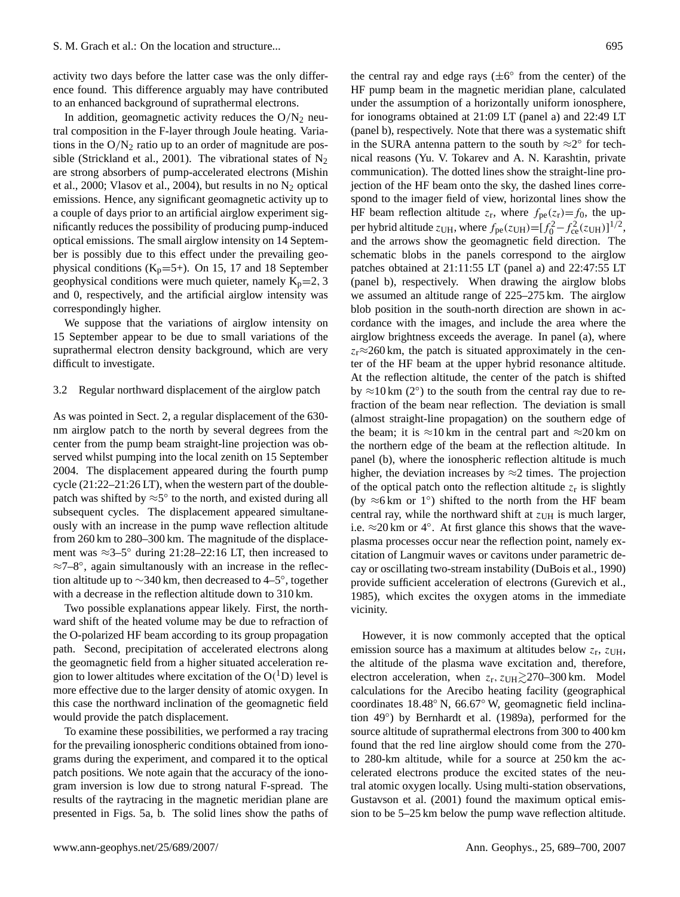activity two days before the latter case was the only difference found. This difference arguably may have contributed to an enhanced background of suprathermal electrons.

In addition, geomagnetic activity reduces the  $O/N<sub>2</sub>$  neutral composition in the F-layer through Joule heating. Variations in the  $O/N_2$  ratio up to an order of magnitude are pos-sible [\(Strickland et al., 2001\)](#page-12-18). The vibrational states of  $N_2$ are strong absorbers of pump-accelerated electrons [\(Mishin](#page-12-19) [et al., 2000;](#page-12-19) [Vlasov et al., 2004\)](#page-12-20), but results in no  $N_2$  optical emissions. Hence, any significant geomagnetic activity up to a couple of days prior to an artificial airglow experiment significantly reduces the possibility of producing pump-induced optical emissions. The small airglow intensity on 14 September is possibly due to this effect under the prevailing geophysical conditions  $(K_p=5+)$ . On 15, 17 and 18 September geophysical conditions were much quieter, namely  $K_p=2, 3$ and 0, respectively, and the artificial airglow intensity was correspondingly higher.

We suppose that the variations of airglow intensity on 15 September appear to be due to small variations of the suprathermal electron density background, which are very difficult to investigate.

#### 3.2 Regular northward displacement of the airglow patch

As was pointed in Sect. [2,](#page-2-0) a regular displacement of the 630 nm airglow patch to the north by several degrees from the center from the pump beam straight-line projection was observed whilst pumping into the local zenith on 15 September 2004. The displacement appeared during the fourth pump cycle (21:22–21:26 LT), when the western part of the doublepatch was shifted by  $\approx$ 5° to the north, and existed during all subsequent cycles. The displacement appeared simultaneously with an increase in the pump wave reflection altitude from 260 km to 280–300 km. The magnitude of the displacement was  $\approx$ 3–5° during 21:28–22:16 LT, then increased to ≈7–8◦ , again simultanously with an increase in the reflection altitude up to  $\sim$ 340 km, then decreased to 4–5°, together with a decrease in the reflection altitude down to 310 km.

Two possible explanations appear likely. First, the northward shift of the heated volume may be due to refraction of the O-polarized HF beam according to its group propagation path. Second, precipitation of accelerated electrons along the geomagnetic field from a higher situated acceleration region to lower altitudes where excitation of the  $O(^{1}D)$  level is more effective due to the larger density of atomic oxygen. In this case the northward inclination of the geomagnetic field would provide the patch displacement.

To examine these possibilities, we performed a ray tracing for the prevailing ionospheric conditions obtained from ionograms during the experiment, and compared it to the optical patch positions. We note again that the accuracy of the ionogram inversion is low due to strong natural F-spread. The results of the raytracing in the magnetic meridian plane are presented in Figs. [5a](#page-9-0), b. The solid lines show the paths of

the central ray and edge rays  $(\pm 6^{\circ}$  from the center) of the HF pump beam in the magnetic meridian plane, calculated under the assumption of a horizontally uniform ionosphere, for ionograms obtained at 21:09 LT (panel a) and 22:49 LT (panel b), respectively. Note that there was a systematic shift in the SURA antenna pattern to the south by  $\approx 2^{\circ}$  for technical reasons (Yu. V. Tokarev and A. N. Karashtin, private communication). The dotted lines show the straight-line projection of the HF beam onto the sky, the dashed lines correspond to the imager field of view, horizontal lines show the HF beam reflection altitude  $z_r$ , where  $f_{\text{pe}}(z_r) = f_0$ , the upper hybrid altitude  $z_{\text{UH}}$ , where  $f_{\text{pe}}(z_{\text{UH}}) = [f_0^2 - f_{\text{ce}}^2(z_{\text{UH}})]^{1/2}$ , and the arrows show the geomagnetic field direction. The schematic blobs in the panels correspond to the airglow patches obtained at 21:11:55 LT (panel a) and 22:47:55 LT (panel b), respectively. When drawing the airglow blobs we assumed an altitude range of 225–275 km. The airglow blob position in the south-north direction are shown in accordance with the images, and include the area where the airglow brightness exceeds the average. In panel (a), where  $z_r \approx 260$  km, the patch is situated approximately in the center of the HF beam at the upper hybrid resonance altitude. At the reflection altitude, the center of the patch is shifted by  $\approx$ 10 km (2°) to the south from the central ray due to refraction of the beam near reflection. The deviation is small (almost straight-line propagation) on the southern edge of the beam; it is  $\approx$ 10 km in the central part and  $\approx$ 20 km on the northern edge of the beam at the reflection altitude. In panel (b), where the ionospheric reflection altitude is much higher, the deviation increases by  $\approx$ 2 times. The projection of the optical patch onto the reflection altitude  $z_r$  is slightly (by  $\approx$ 6 km or 1°) shifted to the north from the HF beam central ray, while the northward shift at  $z_{UH}$  is much larger, i.e.  $\approx$  20 km or 4°. At first glance this shows that the waveplasma processes occur near the reflection point, namely excitation of Langmuir waves or cavitons under parametric decay or oscillating two-stream instability [\(DuBois et al., 1990\)](#page-11-16) provide sufficient acceleration of electrons [\(Gurevich et al.,](#page-11-21) [1985\)](#page-11-21), which excites the oxygen atoms in the immediate vicinity.

However, it is now commonly accepted that the optical emission source has a maximum at altitudes below  $z_r$ ,  $z_{UH}$ , the altitude of the plasma wave excitation and, therefore, electron acceleration, when  $z_r$ ,  $z_{UH} \gtrsim 270-300$  km. Model calculations for the Arecibo heating facility (geographical coordinates 18.48◦ N, 66.67◦ W, geomagnetic field inclina-tion 49°) by [Bernhardt et al. \(1989a\)](#page-10-0), performed for the source altitude of suprathermal electrons from 300 to 400 km found that the red line airglow should come from the 270 to 280-km altitude, while for a source at 250 km the accelerated electrons produce the excited states of the neutral atomic oxygen locally. Using multi-station observations, [Gustavson et al.](#page-11-6) [\(2001\)](#page-11-6) found the maximum optical emission to be 5–25 km below the pump wave reflection altitude.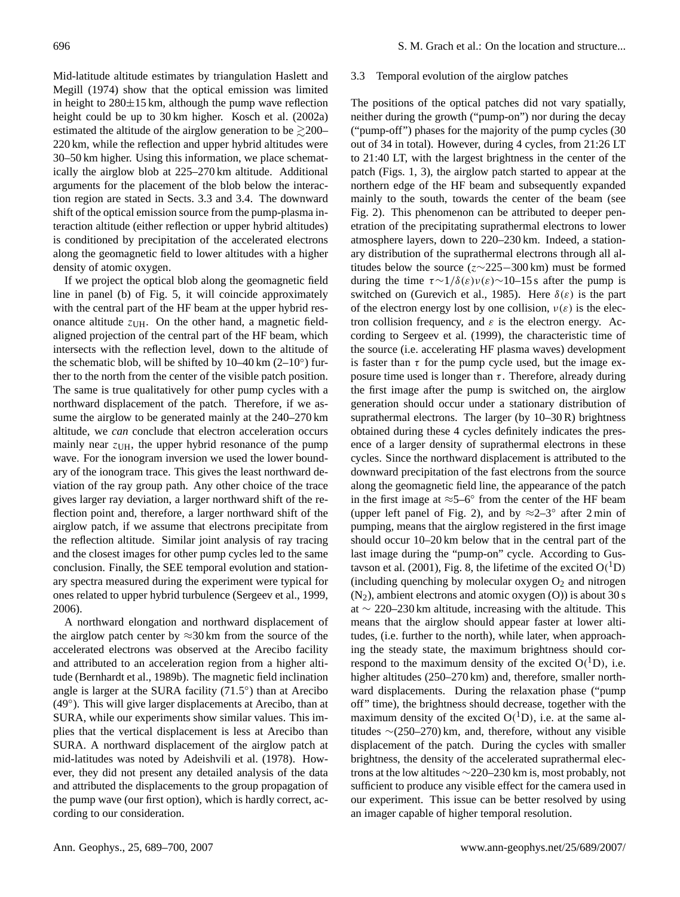Mid-latitude altitude estimates by triangulation [Haslett and](#page-11-2) [Megill \(1974\)](#page-11-2) show that the optical emission was limited in height to  $280\pm15$  km, although the pump wave reflection height could be up to 30 km higher. [Kosch et al.](#page-11-9) [\(2002a\)](#page-11-9) estimated the altitude of the airglow generation to be  $\geq 200-$ 220 km, while the reflection and upper hybrid altitudes were 30–50 km higher. Using this information, we place schematically the airglow blob at 225–270 km altitude. Additional arguments for the placement of the blob below the interaction region are stated in Sects. [3.3](#page-8-0) and [3.4.](#page-9-1) The downward shift of the optical emission source from the pump-plasma interaction altitude (either reflection or upper hybrid altitudes) is conditioned by precipitation of the accelerated electrons along the geomagnetic field to lower altitudes with a higher density of atomic oxygen.

If we project the optical blob along the geomagnetic field line in panel (b) of Fig. [5,](#page-9-0) it will coincide approximately with the central part of the HF beam at the upper hybrid resonance altitude  $z_{UH}$ . On the other hand, a magnetic fieldaligned projection of the central part of the HF beam, which intersects with the reflection level, down to the altitude of the schematic blob, will be shifted by  $10-40 \text{ km } (2-10°)$  further to the north from the center of the visible patch position. The same is true qualitatively for other pump cycles with a northward displacement of the patch. Therefore, if we assume the airglow to be generated mainly at the 240–270 km altitude, we *can* conclude that electron acceleration occurs mainly near  $z_{UH}$ , the upper hybrid resonance of the pump wave. For the ionogram inversion we used the lower boundary of the ionogram trace. This gives the least northward deviation of the ray group path. Any other choice of the trace gives larger ray deviation, a larger northward shift of the reflection point and, therefore, a larger northward shift of the airglow patch, if we assume that electrons precipitate from the reflection altitude. Similar joint analysis of ray tracing and the closest images for other pump cycles led to the same conclusion. Finally, the SEE temporal evolution and stationary spectra measured during the experiment were typical for ones related to upper hybrid turbulence [\(Sergeev et al., 1999,](#page-12-21) [2006\)](#page-12-16).

A northward elongation and northward displacement of the airglow patch center by  $\approx$ 30 km from the source of the accelerated electrons was observed at the Arecibo facility and attributed to an acceleration region from a higher altitude [\(Bernhardt et al., 1989b\)](#page-11-3). The magnetic field inclination angle is larger at the SURA facility  $(71.5^{\circ})$  than at Arecibo (49°). This will give larger displacements at Arecibo, than at SURA, while our experiments show similar values. This implies that the vertical displacement is less at Arecibo than SURA. A northward displacement of the airglow patch at mid-latitudes was noted by [Adeishvili et al. \(1978\)](#page-10-3). However, they did not present any detailed analysis of the data and attributed the displacements to the group propagation of the pump wave (our first option), which is hardly correct, according to our consideration.

#### <span id="page-8-0"></span>3.3 Temporal evolution of the airglow patches

The positions of the optical patches did not vary spatially, neither during the growth ("pump-on") nor during the decay ("pump-off") phases for the majority of the pump cycles (30 out of 34 in total). However, during 4 cycles, from 21:26 LT to 21:40 LT, with the largest brightness in the center of the patch (Figs. [1,](#page-3-0) [3\)](#page-5-0), the airglow patch started to appear at the northern edge of the HF beam and subsequently expanded mainly to the south, towards the center of the beam (see Fig. [2\)](#page-4-0). This phenomenon can be attributed to deeper penetration of the precipitating suprathermal electrons to lower atmosphere layers, down to 220–230 km. Indeed, a stationary distribution of the suprathermal electrons through all altitudes below the source ( $z \sim 225-300$  km) must be formed during the time  $τ∼1/δ(ε)ν(ε)∼10-15 s$  after the pump is switched on [\(Gurevich et al., 1985\)](#page-11-21). Here  $\delta(\varepsilon)$  is the part of the electron energy lost by one collision,  $v(\varepsilon)$  is the electron collision frequency, and  $\varepsilon$  is the electron energy. According to [Sergeev et al. \(1999\)](#page-12-21), the characteristic time of the source (i.e. accelerating HF plasma waves) development is faster than  $\tau$  for the pump cycle used, but the image exposure time used is longer than  $\tau$ . Therefore, already during the first image after the pump is switched on, the airglow generation should occur under a stationary distribution of suprathermal electrons. The larger (by 10–30 R) brightness obtained during these 4 cycles definitely indicates the presence of a larger density of suprathermal electrons in these cycles. Since the northward displacement is attributed to the downward precipitation of the fast electrons from the source along the geomagnetic field line, the appearance of the patch in the first image at  $\approx$ 5–6° from the center of the HF beam (upper left panel of Fig. [2\)](#page-4-0), and by  $\approx 2-3°$  after 2 min of pumping, means that the airglow registered in the first image should occur 10–20 km below that in the central part of the last image during the "pump-on" cycle. According to [Gus](#page-11-6)[tavson et al.](#page-11-6) [\(2001\)](#page-11-6), Fig. 8, the lifetime of the excited  $O(^1D)$ (including quenching by molecular oxygen  $O<sub>2</sub>$  and nitrogen  $(N_2)$ , ambient electrons and atomic oxygen  $(O)$ ) is about 30 s at ∼ 220–230 km altitude, increasing with the altitude. This means that the airglow should appear faster at lower altitudes, (i.e. further to the north), while later, when approaching the steady state, the maximum brightness should correspond to the maximum density of the excited  $O(^1D)$ , i.e. higher altitudes (250–270 km) and, therefore, smaller northward displacements. During the relaxation phase ("pump off" time), the brightness should decrease, together with the maximum density of the excited  $O(^1D)$ , i.e. at the same altitudes ∼(250–270) km, and, therefore, without any visible displacement of the patch. During the cycles with smaller brightness, the density of the accelerated suprathermal electrons at the low altitudes ∼220–230 km is, most probably, not sufficient to produce any visible effect for the camera used in our experiment. This issue can be better resolved by using an imager capable of higher temporal resolution.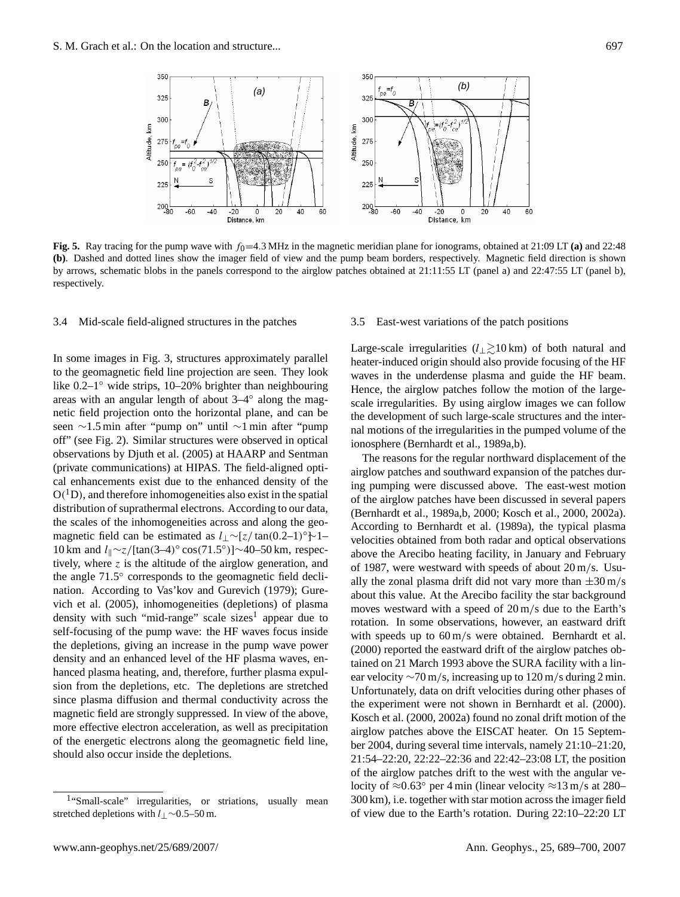

<span id="page-9-0"></span>**Fig. 5.** Ray tracing for the pump wave with  $f_0 = 4.3$  MHz in the magnetic meridian plane for ionograms, obtained at 21:09 LT (a) and 22:48 **(b)**. Dashed and dotted lines show the imager field of view and the pump beam borders, respectively. Magnetic field direction is shown by arrows, schematic blobs in the panels correspond to the airglow patches obtained at 21:11:55 LT (panel a) and 22:47:55 LT (panel b), respectively.

#### <span id="page-9-1"></span>3.4 Mid-scale field-aligned structures in the patches

In some images in Fig. [3,](#page-5-0) structures approximately parallel to the geomagnetic field line projection are seen. They look like 0.2–1◦ wide strips, 10–20% brighter than neighbouring areas with an angular length of about 3–4◦ along the magnetic field projection onto the horizontal plane, and can be seen ∼1.5 min after "pump on" until ∼1 min after "pump off" (see Fig. [2\)](#page-4-0). Similar structures were observed in optical observations by [Djuth et al. \(2005\)](#page-11-12) at HAARP and Sentman (private communications) at HIPAS. The field-aligned optical enhancements exist due to the enhanced density of the  $O(^{1}D)$ , and therefore inhomogeneities also exist in the spatial distribution of suprathermal electrons. According to our data, the scales of the inhomogeneities across and along the geomagnetic field can be estimated as  $l_{\perp}$ ~[z/tan(0.2–1)°}~1– 10 km and l<sub>||</sub>∼z/[tan(3–4)° cos(71.5°)]∼40–50 km, respectively, where  $z$  is the altitude of the airglow generation, and the angle 71.5° corresponds to the geomagnetic field declination. According to [Vas'kov and Gurevich](#page-12-7) [\(1979\)](#page-12-7); [Gure](#page-11-27)[vich et al.](#page-11-27) [\(2005\)](#page-11-27), inhomogeneities (depletions) of plasma density with such "mid-range" scale sizes<sup>[1](#page-9-2)</sup> appear due to self-focusing of the pump wave: the HF waves focus inside the depletions, giving an increase in the pump wave power density and an enhanced level of the HF plasma waves, enhanced plasma heating, and, therefore, further plasma expulsion from the depletions, etc. The depletions are stretched since plasma diffusion and thermal conductivity across the magnetic field are strongly suppressed. In view of the above, more effective electron acceleration, as well as precipitation of the energetic electrons along the geomagnetic field line, should also occur inside the depletions.

## 3.5 East-west variations of the patch positions

Large-scale irregularities ( $l_2 \gtrsim 10 \text{ km}$ ) of both natural and heater-induced origin should also provide focusing of the HF waves in the underdense plasma and guide the HF beam. Hence, the airglow patches follow the motion of the largescale irregularities. By using airglow images we can follow the development of such large-scale structures and the internal motions of the irregularities in the pumped volume of the ionosphere [\(Bernhardt et al., 1989a](#page-10-0)[,b\)](#page-11-3).

The reasons for the regular northward displacement of the airglow patches and southward expansion of the patches during pumping were discussed above. The east-west motion of the airglow patches have been discussed in several papers [\(Bernhardt et al., 1989a](#page-10-0)[,b,](#page-11-3) [2000;](#page-11-5) [Kosch et al., 2000,](#page-11-10) [2002a\)](#page-11-9). According to [Bernhardt et al.](#page-10-0) [\(1989a\)](#page-10-0), the typical plasma velocities obtained from both radar and optical observations above the Arecibo heating facility, in January and February of 1987, were westward with speeds of about 20 m/s. Usually the zonal plasma drift did not vary more than  $\pm 30$  m/s about this value. At the Arecibo facility the star background moves westward with a speed of 20 m/s due to the Earth's rotation. In some observations, however, an eastward drift with speeds up to  $60 \text{ m/s}$  were obtained. [Bernhardt et al.](#page-11-5) [\(2000\)](#page-11-5) reported the eastward drift of the airglow patches obtained on 21 March 1993 above the SURA facility with a linear velocity  $\sim$ 70 m/s, increasing up to 120 m/s during 2 min. Unfortunately, data on drift velocities during other phases of the experiment were not shown in [Bernhardt et al. \(2000\)](#page-11-5). [Kosch et al. \(2000,](#page-11-10) [2002a\)](#page-11-9) found no zonal drift motion of the airglow patches above the EISCAT heater. On 15 September 2004, during several time intervals, namely 21:10–21:20, 21:54–22:20, 22:22–22:36 and 22:42–23:08 LT, the position of the airglow patches drift to the west with the angular velocity of  $\approx 0.63^\circ$  per 4 min (linear velocity  $\approx 13$  m/s at 280– 300 km), i.e. together with star motion across the imager field of view due to the Earth's rotation. During 22:10–22:20 LT

<span id="page-9-2"></span><sup>&</sup>lt;sup>1</sup>"Small-scale" irregularities, or striations, usually mean stretched depletions with l⊥∼0.5–50 m.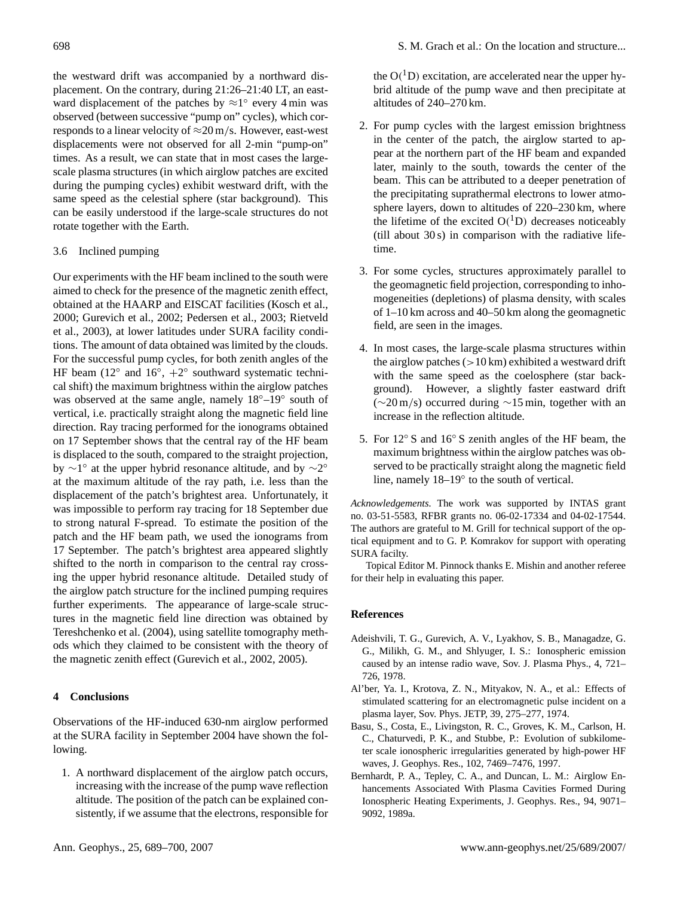the westward drift was accompanied by a northward displacement. On the contrary, during 21:26–21:40 LT, an eastward displacement of the patches by  $\approx 1^{\circ}$  every 4 min was observed (between successive "pump on" cycles), which corresponds to a linear velocity of  $\approx$ 20 m/s. However, east-west displacements were not observed for all 2-min "pump-on" times. As a result, we can state that in most cases the largescale plasma structures (in which airglow patches are excited during the pumping cycles) exhibit westward drift, with the same speed as the celestial sphere (star background). This can be easily understood if the large-scale structures do not rotate together with the Earth.

## 3.6 Inclined pumping

Our experiments with the HF beam inclined to the south were aimed to check for the presence of the magnetic zenith effect, obtained at the HAARP and EISCAT facilities [\(Kosch et al.,](#page-11-10) [2000;](#page-11-10) [Gurevich et al., 2002;](#page-11-11) [Pedersen et al., 2003;](#page-12-3) [Rietveld](#page-12-4) [et al., 2003\)](#page-12-4), at lower latitudes under SURA facility conditions. The amount of data obtained was limited by the clouds. For the successful pump cycles, for both zenith angles of the HF beam ( $12^\circ$  and  $16^\circ$ ,  $+2^\circ$  southward systematic technical shift) the maximum brightness within the airglow patches was observed at the same angle, namely  $18°-19°$  south of vertical, i.e. practically straight along the magnetic field line direction. Ray tracing performed for the ionograms obtained on 17 September shows that the central ray of the HF beam is displaced to the south, compared to the straight projection, by  $\sim$ 1° at the upper hybrid resonance altitude, and by  $\sim$ 2° at the maximum altitude of the ray path, i.e. less than the displacement of the patch's brightest area. Unfortunately, it was impossible to perform ray tracing for 18 September due to strong natural F-spread. To estimate the position of the patch and the HF beam path, we used the ionograms from 17 September. The patch's brightest area appeared slightly shifted to the north in comparison to the central ray crossing the upper hybrid resonance altitude. Detailed study of the airglow patch structure for the inclined pumping requires further experiments. The appearance of large-scale structures in the magnetic field line direction was obtained by [Tereshchenko et al.](#page-12-14) [\(2004\)](#page-12-14), using satellite tomography methods which they claimed to be consistent with the theory of the magnetic zenith effect [\(Gurevich et al., 2002,](#page-11-11) [2005\)](#page-11-27).

### **4 Conclusions**

Observations of the HF-induced 630-nm airglow performed at the SURA facility in September 2004 have shown the following.

1. A northward displacement of the airglow patch occurs, increasing with the increase of the pump wave reflection altitude. The position of the patch can be explained consistently, if we assume that the electrons, responsible for

the  $O(^{1}D)$  excitation, are accelerated near the upper hybrid altitude of the pump wave and then precipitate at altitudes of 240–270 km.

- 2. For pump cycles with the largest emission brightness in the center of the patch, the airglow started to appear at the northern part of the HF beam and expanded later, mainly to the south, towards the center of the beam. This can be attributed to a deeper penetration of the precipitating suprathermal electrons to lower atmosphere layers, down to altitudes of 220–230 km, where the lifetime of the excited  $O(^1D)$  decreases noticeably (till about 30 s) in comparison with the radiative lifetime.
- 3. For some cycles, structures approximately parallel to the geomagnetic field projection, corresponding to inhomogeneities (depletions) of plasma density, with scales of 1–10 km across and 40–50 km along the geomagnetic field, are seen in the images.
- 4. In most cases, the large-scale plasma structures within the airglow patches  $(>10 \text{ km})$  exhibited a westward drift with the same speed as the coelosphere (star background). However, a slightly faster eastward drift (∼20 m/s) occurred during ∼15 min, together with an increase in the reflection altitude.
- 5. For 12◦ S and 16◦ S zenith angles of the HF beam, the maximum brightness within the airglow patches was observed to be practically straight along the magnetic field line, namely 18–19◦ to the south of vertical.

*Acknowledgements.* The work was supported by INTAS grant no. 03-51-5583, RFBR grants no. 06-02-17334 and 04-02-17544. The authors are grateful to M. Grill for technical support of the optical equipment and to G. P. Komrakov for support with operating SURA facilty.

Topical Editor M. Pinnock thanks E. Mishin and another referee for their help in evaluating this paper.

## **References**

- <span id="page-10-3"></span>Adeishvili, T. G., Gurevich, A. V., Lyakhov, S. B., Managadze, G. G., Milikh, G. M., and Shlyuger, I. S.: Ionospheric emission caused by an intense radio wave, Sov. J. Plasma Phys., 4, 721– 726, 1978.
- <span id="page-10-2"></span>Al'ber, Ya. I., Krotova, Z. N., Mityakov, N. A., et al.: Effects of stimulated scattering for an electromagnetic pulse incident on a plasma layer, Sov. Phys. JETP, 39, 275–277, 1974.
- <span id="page-10-1"></span>Basu, S., Costa, E., Livingston, R. C., Groves, K. M., Carlson, H. C., Chaturvedi, P. K., and Stubbe, P.: Evolution of subkilometer scale ionospheric irregularities generated by high-power HF waves, J. Geophys. Res., 102, 7469–7476, 1997.
- <span id="page-10-0"></span>Bernhardt, P. A., Tepley, C. A., and Duncan, L. M.: Airglow Enhancements Associated With Plasma Cavities Formed During Ionospheric Heating Experiments, J. Geophys. Res., 94, 9071– 9092, 1989a.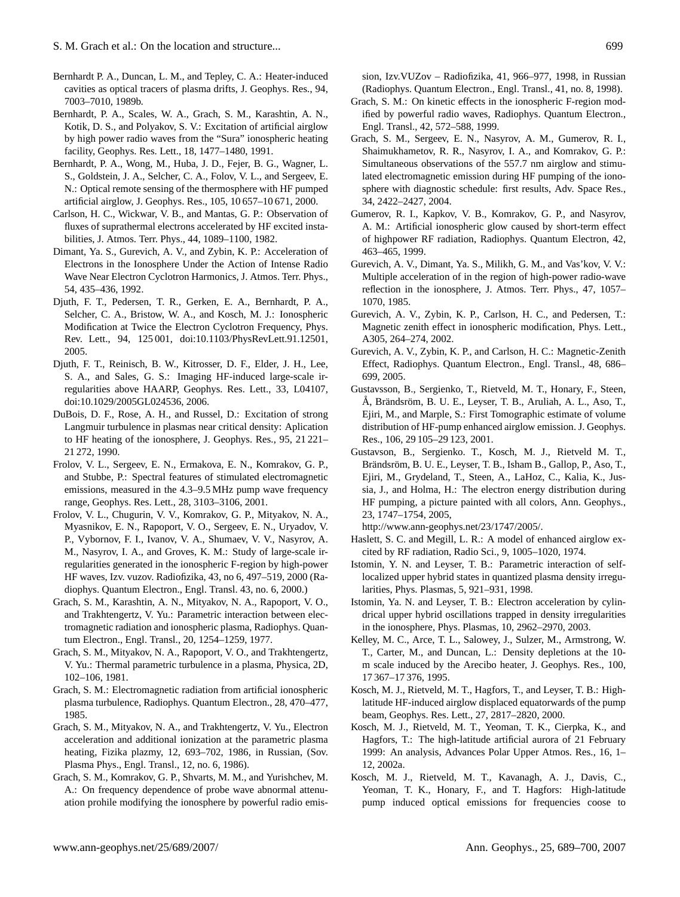- <span id="page-11-3"></span>Bernhardt P. A., Duncan, L. M., and Tepley, C. A.: Heater-induced cavities as optical tracers of plasma drifts, J. Geophys. Res., 94, 7003–7010, 1989b.
- <span id="page-11-4"></span>Bernhardt, P. A., Scales, W. A., Grach, S. M., Karashtin, A. N., Kotik, D. S., and Polyakov, S. V.: Excitation of artificial airglow by high power radio waves from the "Sura" ionospheric heating facility, Geophys. Res. Lett., 18, 1477–1480, 1991.
- <span id="page-11-5"></span>Bernhardt, P. A., Wong, M., Huba, J. D., Fejer, B. G., Wagner, L. S., Goldstein, J. A., Selcher, C. A., Folov, V. L., and Sergeev, E. N.: Optical remote sensing of the thermosphere with HF pumped artificial airglow, J. Geophys. Res., 105, 10 657–10 671, 2000.
- <span id="page-11-0"></span>Carlson, H. C., Wickwar, V. B., and Mantas, G. P.: Observation of fluxes of suprathermal electrons accelerated by HF excited instabilities, J. Atmos. Terr. Phys., 44, 1089–1100, 1982.
- <span id="page-11-23"></span>Dimant, Ya. S., Gurevich, A. V., and Zybin, K. P.: Acceleration of Electrons in the Ionosphere Under the Action of Intense Radio Wave Near Electron Cyclotron Harmonics, J. Atmos. Terr. Phys., 54, 435–436, 1992.
- <span id="page-11-12"></span>Djuth, F. T., Pedersen, T. R., Gerken, E. A., Bernhardt, P. A., Selcher, C. A., Bristow, W. A., and Kosch, M. J.: Ionospheric Modification at Twice the Electron Cyclotron Frequency, Phys. Rev. Lett., 94, 125 001, doi:10.1103/PhysRevLett.91.12501, 2005.
- <span id="page-11-15"></span>Djuth, F. T., Reinisch, B. W., Kitrosser, D. F., Elder, J. H., Lee, S. A., and Sales, G. S.: Imaging HF-induced large-scale irregularities above HAARP, Geophys. Res. Lett., 33, L04107, doi:10.1029/2005GL024536, 2006.
- <span id="page-11-16"></span>DuBois, D. F., Rose, A. H., and Russel, D.: Excitation of strong Langmuir turbulence in plasmas near critical density: Aplication to HF heating of the ionosphere, J. Geophys. Res., 95, 21 221– 21 272, 1990.
- <span id="page-11-28"></span>Frolov, V. L., Sergeev, E. N., Ermakova, E. N., Komrakov, G. P., and Stubbe, P.: Spectral features of stimulated electromagnetic emissions, measured in the 4.3–9.5 MHz pump wave frequency range, Geophys. Res. Lett., 28, 3103–3106, 2001.
- <span id="page-11-14"></span>Frolov, V. L., Chugurin, V. V., Komrakov, G. P., Mityakov, N. A., Myasnikov, E. N., Rapoport, V. O., Sergeev, E. N., Uryadov, V. P., Vybornov, F. I., Ivanov, V. A., Shumaev, V. V., Nasyrov, A. M., Nasyrov, I. A., and Groves, K. M.: Study of large-scale irregularities generated in the ionospheric F-region by high-power HF waves, Izv. vuzov. Radiofizika, 43, no 6, 497–519, 2000 (Radiophys. Quantum Electron., Engl. Transl. 43, no. 6, 2000.)
- <span id="page-11-17"></span>Grach, S. M., Karashtin, A. N., Mityakov, N. A., Rapoport, V. O., and Trakhtengertz, V. Yu.: Parametric interaction between electromagnetic radiation and ionospheric plasma, Radiophys. Quantum Electron., Engl. Transl., 20, 1254–1259, 1977.
- <span id="page-11-18"></span>Grach, S. M., Mityakov, N. A., Rapoport, V. O., and Trakhtengertz, V. Yu.: Thermal parametric turbulence in a plasma, Physica, 2D, 102–106, 1981.
- <span id="page-11-19"></span>Grach, S. M.: Electromagnetic radiation from artificial ionospheric plasma turbulence, Radiophys. Quantum Electron., 28, 470–477, 1985.
- <span id="page-11-22"></span>Grach, S. M., Mityakov, N. A., and Trakhtengertz, V. Yu., Electron acceleration and additional ionization at the parametric plasma heating, Fizika plazmy, 12, 693–702, 1986, in Russian, (Sov. Plasma Phys., Engl. Transl., 12, no. 6, 1986).
- <span id="page-11-29"></span>Grach, S. M., Komrakov, G. P., Shvarts, M. M., and Yurishchev, M. A.: On frequency dependence of probe wave abnormal attenuation prohile modifying the ionosphere by powerful radio emis-

sion, Izv.VUZov – Radiofizika, 41, 966–977, 1998, in Russian (Radiophys. Quantum Electron., Engl. Transl., 41, no. 8, 1998).

- <span id="page-11-24"></span>Grach, S. M.: On kinetic effects in the ionospheric F-region modified by powerful radio waves, Radiophys. Quantum Electron., Engl. Transl., 42, 572–588, 1999.
- <span id="page-11-8"></span>Grach, S. M., Sergeev, E. N., Nasyrov, A. M., Gumerov, R. I., Shaimukhametov, R. R., Nasyrov, I. A., and Komrakov, G. P.: Simultaneous observations of the 557.7 nm airglow and stimulated electromagnetic emission during HF pumping of the ionosphere with diagnostic schedule: first results, Adv. Space Res., 34, 2422–2427, 2004.
- <span id="page-11-7"></span>Gumerov, R. I., Kapkov, V. B., Komrakov, G. P., and Nasyrov, A. M.: Artificial ionospheric glow caused by short-term effect of highpower RF radiation, Radiophys. Quantum Electron, 42, 463–465, 1999.
- <span id="page-11-21"></span>Gurevich, A. V., Dimant, Ya. S., Milikh, G. M., and Vas'kov, V. V.: Multiple acceleration of in the region of high-power radio-wave reflection in the ionosphere, J. Atmos. Terr. Phys., 47, 1057– 1070, 1985.
- <span id="page-11-11"></span>Gurevich, A. V., Zybin, K. P., Carlson, H. C., and Pedersen, T.: Magnetic zenith effect in ionospheric modification, Phys. Lett., A305, 264–274, 2002.
- <span id="page-11-27"></span>Gurevich, A. V., Zybin, K. P., and Carlson, H. C.: Magnetic-Zenith Effect, Radiophys. Quantum Electron., Engl. Transl., 48, 686– 699, 2005.
- <span id="page-11-6"></span>Gustavsson, B., Sergienko, T., Rietveld, M. T., Honary, F., Steen, Å, Brändsröm, B. U. E., Leyser, T. B., Aruliah, A. L., Aso, T., Ejiri, M., and Marple, S.: First Tomographic estimate of volume distribution of HF-pump enhanced airglow emission. J. Geophys. Res., 106, 29 105–29 123, 2001.
- <span id="page-11-1"></span>Gustavson, B., Sergienko. T., Kosch, M. J., Rietveld M. T., Brändsröm, B. U. E., Leyser, T. B., Isham B., Gallop, P., Aso, T., Ejiri, M., Grydeland, T., Steen, A., LaHoz, C., Kalia, K., Jussia, J., and Holma, H.: The electron energy distribution during HF pumping, a picture painted with all colors, Ann. Geophys., 23, 1747–1754, 2005,

[http://www.ann-geophys.net/23/1747/2005/.](http://www.ann-geophys.net/23/1747/2005/)

- <span id="page-11-2"></span>Haslett, S. C. and Megill, L. R.: A model of enhanced airglow excited by RF radiation, Radio Sci., 9, 1005–1020, 1974.
- <span id="page-11-20"></span>Istomin, Y. N. and Leyser, T. B.: Parametric interaction of selflocalized upper hybrid states in quantized plasma density irregularities, Phys. Plasmas, 5, 921–931, 1998.
- <span id="page-11-25"></span>Istomin, Ya. N. and Leyser, T. B.: Electron acceleration by cylindrical upper hybrid oscillations trapped in density irregularities in the ionosphere, Phys. Plasmas, 10, 2962–2970, 2003.
- <span id="page-11-13"></span>Kelley, M. C., Arce, T. L., Salowey, J., Sulzer, M., Armstrong, W. T., Carter, M., and Duncan, L.: Density depletions at the 10 m scale induced by the Arecibo heater, J. Geophys. Res., 100, 17 367–17 376, 1995.
- <span id="page-11-10"></span>Kosch, M. J., Rietveld, M. T., Hagfors, T., and Leyser, T. B.: Highlatitude HF-induced airglow displaced equatorwards of the pump beam, Geophys. Res. Lett., 27, 2817–2820, 2000.
- <span id="page-11-9"></span>Kosch, M. J., Rietveld, M. T., Yeoman, T. K., Cierpka, K., and Hagfors, T.: The high-latitude artificial aurora of 21 February 1999: An analysis, Advances Polar Upper Atmos. Res., 16, 1– 12, 2002a.
- <span id="page-11-26"></span>Kosch, M. J., Rietveld, M. T., Kavanagh, A. J., Davis, C., Yeoman, T. K., Honary, F., and T. Hagfors: High-latitude pump induced optical emissions for frequencies coose to